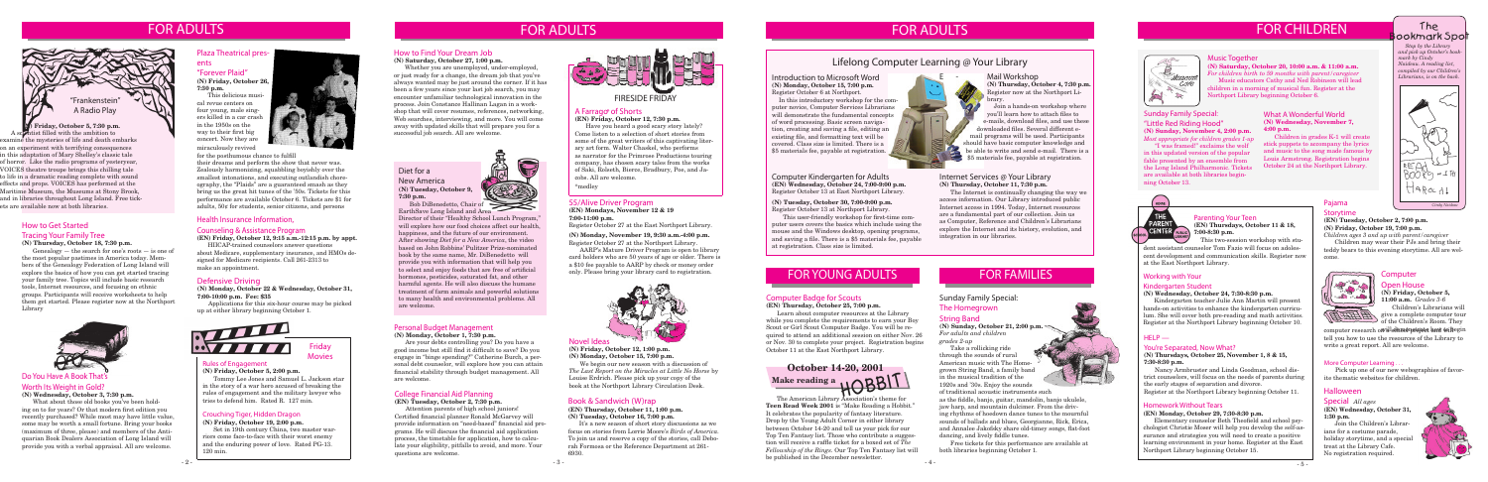#### **Rules of Engagement (N) Friday, October 5, 2:00 p.m.**

Friday **Movies** 

Tommy Lee Jones and Samuel L. Jackson star in the story of a war hero accused of breaking the rules of engagement and the military lawyer who tries to defend him. Rated R. 127 min.

# FOR ADULTS FOR CHILDREN

### **B**<br>Museum  $C$ o $Ye$ A  $\mathbb{R}$

### FOR YOUNG ADULTS

### Crouching Tiger, Hidden Dragon

**(N) Friday, October 19, 2:00 p.m.**

Set in 19th century China, two master warriors come face-to-face with their worst enemy and the enduring power of love. Rated PG-13. 120 min.

## FOR ADULTS

### 55/Alive Driver Program

**(EN) Mondays, November 12 & 19 7:00-11:00 p.m.**

Register October 27 at the East Northport Library.

#### **(N) Monday, November 19, 9:30 a.m.-4:00 p.m.** Register October 27 at the Northport Library.

AARP's Mature Driver Program is open to library card holders who are 50 years of age or older. There is a \$10 fee payable to AARP by check or money order only. Please bring your library card to registration.



The ookmark Spott

### A Farrago\* of Shorts

#### **(EN) Friday, October 12, 7:30 p.m.**

Have you heard a good scary story lately? Come listen to a selection of short stories from some of the great writers of this captivating literary art form. Walter Chaskel, who performs as narrator for the Primrose Productions touring company, has chosen scary tales from the works of Saki, Rolseth, Bierce, Bradbury, Poe, and Jacobs. All are welcome.

\*medley

### Music Together

### **(N) Saturday, October 20, 10:00 a.m. & 11:00 a.m.**

*For children birth to 59 months with parent/caregiver* Music educators Cathy and Ned Robinson will lead children in a morning of musical fun. Register at the Northport Library beginning October 6.

 *Stop by the Library and pick up October's bookmark by Cindy Naideau. A reading list, compiled by our Children's Librarians, is on the back.*



### FOR ADULTS



### Personal Budget Management

**(N) Monday, October 1, 7:30 p.m.**

Are your debts controlling you? Do you have a good income but still find it difficult to save? Do you engage in "binge spending?" Catherine Burch, a personal debt counselor, will explore how you can attain financial stability through budget management. All are welcome.

### Computer Kindergarten for Adults **(EN) Wednesday, October 24, 7:00-9:00 p.m.**

Register October 13 at East Northport Library.

### **(N) Tuesday, October 30, 7:00-9:00 p.m.** Register October 13 at Northport Library.

This user-friendly workshop for first-time computer users covers the basics which include using the mouse and the Windows desktop, opening programs, and saving a file. There is a \$5 materials fee, payable at registration. Class size is limited.

### Mail Workshop

### Health Insurance Information, Counseling & Assistance Program

**(EN) Friday, October 12, 9:15 a.m.-12:15 p.m. by appt.** HIICAP-trained counselors answer questions

about Medicare, supplementary insurance, and HMOs designed for Medicare recipients. Call 261-2313 to make an appointment.

### Pajama

### **Storytime**

**(EN) Tuesday, October 2, 7:00 p.m. (N) Friday, October 19, 7:00 p.m.**

*Children ages 3 and up with parent/caregiver*

Children may wear their PJs and bring their teddy bears to this evening storytime. All are welcome.

### Defensive Driving

**(N) Monday, October 22 & Wednesday, October 31, 7:00-10:00 p.m. Fee: \$35** 

Applications for this six-hour course may be picked up at either library beginning October 1.



### Plaza Theatrical presents

"Forever Plaid" **(N) Friday, October 26, 7:30 p.m.**



**(N) Thursday, October 4, 7:30 p.m.** Register now at the Northport Library.

 Join a hands-on workshop where you'll learn how to attach files to e-mails, download files, and use these downloaded files. Several different email programs will be used. Participants should have basic computer knowledge and be able to write and send e-mail. There is a \$5 materials fee, payable at registration.

### Internet Services @ Your Library **(N) Thursday, October 11, 7:30 p.m.**

The Internet is continually changing the way we access information. Our Library introduced public Internet access in 1994. Today, Internet resources are a fundamental part of our collection. Join us as Computer, Reference and Children's Librarians explore the Internet and its history, evolution, and integration in our libraries.

### College Financial Aid Planning

#### **(EN) Tuesday, October 2, 7:30 p.m.**

Attention parents of high school juniors! Certified financial planner Ronald McGarvey will provide information on "need-based" financial aid programs. He will discuss the financial aid application process, the timetable for application, how to calculate your eligibility, pitfalls to avoid, and more. Your questions are welcome.

Director of their "Healthy School Lunch Program," will explore how our food choices affect our health, happiness, and the future of our environment. After showing *Diet for a New America*, the video based on John Robbins' Pulitzer Prize-nominated book by the same name, Mr. DiBenedetto will provide you with information that will help you to select and enjoy foods that are free of artificial hormones, pesticides, saturated fat, and other harmful agents. He will also discuss the humane treatment of farm animals and powerful solutions to many health and environmental problems. All are welcome.

### Do You Have A Book That's

### Worth Its Weight in Gold?

### **(N) Wednesday, October 3, 7:30 p.m.**

This delicious musical revue centers on four young, male singers killed in a car crash in the 1950s on the way to their first big concert. Now they are miraculously revived



What about those old books you've been holding on to for years? Or that modern first edition you recently purchased? While most may have little value, some may be worth a small fortune. Bring your books (maximum of three, please) and members of the Antiquarian Book Dealers Association of Long Island will provide you with a verbal appraisal. All are welcome.

### FOR FAMILIES

### Computer Badge for Scouts

### **(EN) Thursday, October 25, 7:00 p.m.**

Learn about computer resources at the Library while you complete the requirements to earn your Boy Scout or Girl Scout Computer Badge. You will be required to attend an additional session on either Nov. 26 or Nov. 30 to complete your project. Registration begins October 11 at the East Northport Library.

**(N) Friday, October 5, 7:30 p.m.** A scientist filled with the ambition to examine the mysteries of life and death embarks on an experiment with terrifying consequences in this adaptation of Mary Shelley's classic tale of horror. Like the radio programs of yesteryear, VOICES theatre troupe brings this chilling tale to life in a dramatic reading complete with sound effects and props. VOICES has performed at the Maritime Museum, the Museums at Stony Brook, and in libraries throughout Long Island. Free tickets are available now at both libraries.

# **October 14-20, 2001** Make reading a<br>
The American Library Association's theme for

- 2 - - 3 - - 4 - **Teen Read Week 2001** is "Make Reading a Hobbit." It celebrates the popularity of fantasy literature. Drop by the Young Adult Corner in either library between October 14-20 and tell us your pick for our Top Ten Fantasy list. Those who contribute a suggestion will receive a raffle ticket for a boxed set of *The Fellowship of the Rings*. Our Top Ten Fantasy list will be published in the December newsletter.

### How to Get Started Tracing Your Family Tree **(N) Thursday, October 18, 7:30 p.m.**

computer research o<del>n als dhua pstypte and to b</del>egin tell you how to use the resources of the Library to write a great report. All are welcome.

In this introductory workshop for the computer novice, Computer Services Librarians will demonstrate the fundamental concepts of word processing. Basic screen navigation, creating and saving a file, editing an existing file, and formatting text will be covered. Class size is limited. There is a \$5 materials fee, payable at registration.

Genealogy — the search for one's roots — is one of the most popular pastimes in America today. Members of the Genealogy Federation of Long Island will explore the basics of how you can get started tracing your family tree. Topics will include basic research tools, Internet resources, and focusing on ethnic groups. Participants will receive worksheets to help them get started. Please register now at the Northport Library



for the posthumous chance to fulfill their dreams and perform the show that never was. Zealously harmonizing, squabbling boyishly over the smallest intonations, and executing outlandish choreography, the "Plaids" are a guaranteed smash as they bring us the great hit tunes of the '50s. Tickets for this performance are available October 6. Tickets are \$1 for adults, 50¢ for students, senior citizens, and persons

### Novel Ideas

#### **(N) Friday, October 12, 1:00 p.m. (N) Monday, October 15, 7:00 p.m.**

We begin our new season with a discussion of *The Last Report on the Miracles at Little No Horse* by Louise Erdrich. Please pick up your copy of the

book at the Northport Library Circulation Desk.

### Book & Sandwich (W)rap

### **(EN) Thursday, October 11, 1:00 p.m. (N) Tuesday, October 16, 7:00 p.m.**

It's a new season of short story discussions as we focus on stories from Lorrie Moore's *Birds of America.* To join us and reserve a copy of the stories, call Deborah Formosa or the Reference Department at 261- 6930.

### Open House **(N) Friday, October 5,**

**11:00 a.m.** *Grades 3-6* Children's Librarians will



### **Computer**

of the Children's Room. They

### More Computer Learning . . .

Pick up one of our new webographies of favorite thematic websites for children.

### How to Find Your Dream Job

### **(N) Saturday, October 27, 1:00 p.m.**

Whether you are unemployed, under-employed, or just ready for a change, the dream job that you've always wanted may be just around the corner. If it has been a few years since your last job search, you may encounter unfamiliar technological innovation in the process. Join Constance Hallinan Lagan in a workshop that will cover resumes, references, networking, Web searches, interviewing, and more. You will come away with updated skills that will prepare you for a successful job search. All are welcome.

### FIRESIDE FRIDAY

### Diet for a

New America **(N) Tuesday, October 9, 7:30 p.m.**



Bob DiBenedetto, Chair of EarthSave Long Island and Area

### Sunday Family Special: "Little Red Riding Hood" **(N) Sunday, November 4, 2:00 p.m.** *Most appropriate for children grades 1-up*

"I was framed!" exclaims the wolf in this updated version of the popular fable presented by an ensemble from the Long Island Philharmonic. Tickets are available at both libraries beginning October 13.

### Working with Your Kindergarten Student

### **(N) Wednesday, October 24, 7:30-8:30 p.m.**

Kindergarten teacher Julie Ann Martin will present hands-on activities to enhance the kindergarten curriculum. She will cover both pre-reading and math activities. Register at the Northport Library beginning October 10.

### $HELP$  —

### You're Separated, Now What?

**(N) Thursdays, October 25, November 1, 8 & 15, 7:30-8:30 p.m.**

Nancy Armbruster and Linda Goodman, school district counselors, will focus on the needs of parents during the early stages of separation and divorce. Register at the Northport Library beginning October 11.

### Homework Without Tears

### **(EN) Monday, October 29, 7:30-8:30 p.m.**

Elementary counselor Beth Theofield and school psychologist Christie Moser will help you develop the self-assurance and strategies you will need to create a positive learning environment in your home. Register at the East Northport Library beginning October 15.

### What A Wonderful World **(N) Wednesday, November 7, 4:00 p.m.**

Children in grades K-1 will create stick puppets to accompany the lyrics and music to the song made famous by Louis Armstrong. Registration begins October 24 at the Northport Library.



Parenting Your Teen **(EN) Thursdays, October 11 & 18, 7:00-8:30 p.m.**

This two-session workshop with stu-

dent assistant counselor Tom Fazio will focus on adolescent development and communication skills. Register now at the East Northport Library.

### Lifelong Computer Learning @ Your Library

### Sunday Family Special: The Homegrown String Band

**(N) Sunday, October 21, 2:00 p.m.**  *For adults and children grades 2-up*

Take a rollicking ride through the sounds of rural American music with The Homegrown String Band, a family band in the musical tradition of the 1920s and '30s. Enjoy the sounds of traditional acoustic instruments such as the fiddle, banjo, guitar, mandolin, banjo ukulele, jaw harp, and mountain dulcimer. From the driv-

ing rhythms of hoedown dance tunes to the mournful sounds of ballads and blues, Georgianne, Rick, Erica, and Annalee Jakofsky share old-timey songs, flat-foot dancing, and lively fiddle tunes.

Free tickets for this performance are available at both libraries beginning October 1.

### Halloween

### Special *All ages* **(EN) Wednesday, October 31, 1:30 p.m.**

Join the Children's Librarians for a costume parade, holiday storytime, and a special treat at the Library Cafe. No registration required.



Introduction to Microsoft Word **(N) Monday, October 15, 7:00 p.m.** Register October 6 at Northport.